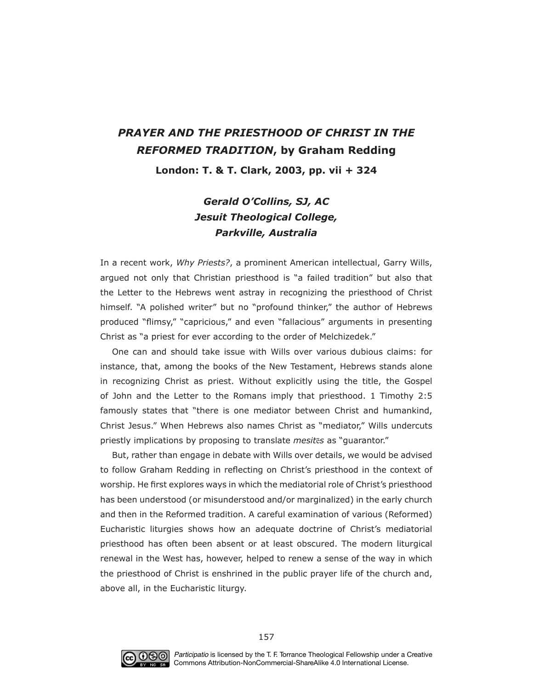## *PRAYER AND THE PRIESTHOOD OF CHRIST IN THE REFORMED TRADITION***, by Graham Redding**

**London: T. & T. Clark, 2003, pp. vii + 324**

## *Gerald O'Collins, SJ, AC Jesuit Theological College, Parkville, Australia*

In a recent work, Why Priests?, a prominent American intellectual, Garry Wills, argued not only that Christian priesthood is "a failed tradition" but also that the Letter to the Hebrews went astray in recognizing the priesthood of Christ himself. "A polished writer" but no "profound thinker," the author of Hebrews produced "flimsy," "capricious," and even "fallacious" arguments in presenting Christ as "a priest for ever according to the order of Melchizedek."

One can and should take issue with Wills over various dubious claims: for instance, that, among the books of the New Testament, Hebrews stands alone in recognizing Christ as priest. Without explicitly using the title, the Gospel of John and the Letter to the Romans imply that priesthood. 1 Timothy 2:5 famously states that "there is one mediator between Christ and humankind, Christ Jesus." When Hebrews also names Christ as "mediator," Wills undercuts priestly implications by proposing to translate *mesit*ē*s* as "guarantor."

But, rather than engage in debate with Wills over details, we would be advised to follow Graham Redding in reflecting on Christ's priesthood in the context of worship. He frst explores ways in which the mediatorial role of Christ's priesthood has been understood (or misunderstood and/or marginalized) in the early church and then in the Reformed tradition. A careful examination of various (Reformed) Eucharistic liturgies shows how an adequate doctrine of Christ's mediatorial priesthood has often been absent or at least obscured. The modern liturgical renewal in the West has, however, helped to renew a sense of the way in which the priesthood of Christ is enshrined in the public prayer life of the church and, above all, in the Eucharistic liturgy.

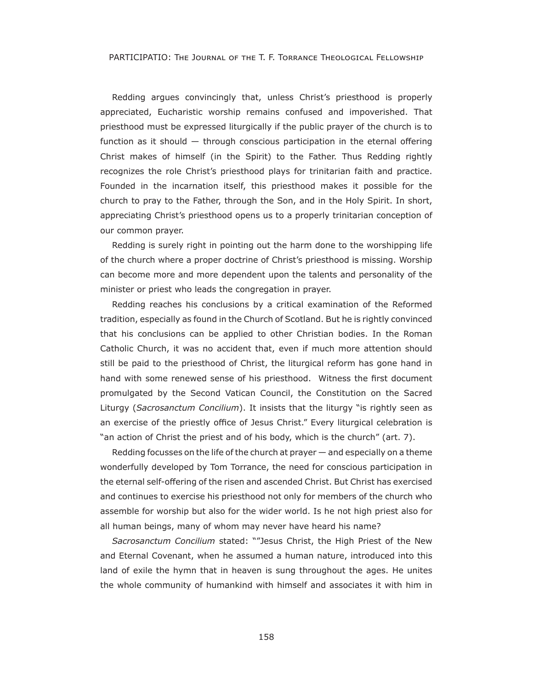PARTICIPATIO: THE JOURNAL OF THE T. F. TORRANCE THEOLOGICAL FELLOWSHIP

Redding argues convincingly that, unless Christ's priesthood is properly appreciated, Eucharistic worship remains confused and impoverished. That priesthood must be expressed liturgically if the public prayer of the church is to function as it should  $-$  through conscious participation in the eternal offering Christ makes of himself (in the Spirit) to the Father. Thus Redding rightly recognizes the role Christ's priesthood plays for trinitarian faith and practice. Founded in the incarnation itself, this priesthood makes it possible for the church to pray to the Father, through the Son, and in the Holy Spirit. In short, appreciating Christ's priesthood opens us to a properly trinitarian conception of our common prayer.

Redding is surely right in pointing out the harm done to the worshipping life of the church where a proper doctrine of Christ's priesthood is missing. Worship can become more and more dependent upon the talents and personality of the minister or priest who leads the congregation in prayer.

Redding reaches his conclusions by a critical examination of the Reformed tradition, especially as found in the Church of Scotland. But he is rightly convinced that his conclusions can be applied to other Christian bodies. In the Roman Catholic Church, it was no accident that, even if much more attention should still be paid to the priesthood of Christ, the liturgical reform has gone hand in hand with some renewed sense of his priesthood. Witness the first document promulgated by the Second Vatican Council, the Constitution on the Sacred Liturgy (*Sacrosanctum Concilium*). It insists that the liturgy "is rightly seen as an exercise of the priestly office of Jesus Christ." Every liturgical celebration is "an action of Christ the priest and of his body, which is the church" (art. 7).

Redding focusses on the life of the church at prayer — and especially on a theme wonderfully developed by Tom Torrance, the need for conscious participation in the eternal self-offering of the risen and ascended Christ. But Christ has exercised and continues to exercise his priesthood not only for members of the church who assemble for worship but also for the wider world. Is he not high priest also for all human beings, many of whom may never have heard his name?

*Sacrosanctum Concilium* stated: ""Jesus Christ, the High Priest of the New and Eternal Covenant, when he assumed a human nature, introduced into this land of exile the hymn that in heaven is sung throughout the ages. He unites the whole community of humankind with himself and associates it with him in